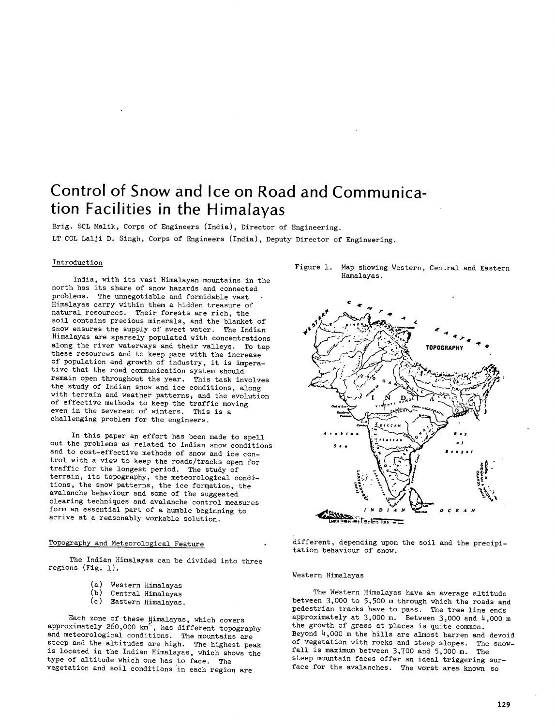# **Control of Snow and Ice on Road and Communication Facilities in the Himalayas**

Brig. SCL Malik, Corps of Engineers (India), Director of Engineering. LT COL Lalji D. Singh, Corps of Engineers (India), Deputy Director of Engineering.

# Introduction

India, with its vast Himalayan mountains in the north has its share of snow hazards and connected problems. The unnegotiable and formidable vast Himalayas carry within them a hidden treasure of natural resources. Their forests are rich, the soil contains precious minerals, and the blanket of snow ensures the supply of sweet water. The Indian Himalayas are sparsely populated with concentrations along the river waterways and their valleys. To tap these resources and to keep pace with the increase of population and growth of industry, it is imperative that the road communication system should remain open throughout the year. This task involves the study of Indian snow and ice conditions, along with terrain and weather patterns, and the evolution of effective methods to keep the traffic moving even in the severest of winters. This is a challenging problem for the engineers.

In this paper an effort has been made to spell out the problems as related to Indian snow conditions and to cost-effective methods of snow and ice control with a view to keep the roads/tracks open for traffic for the longest period. The study of terrain, its topography, the meteorological conditions, the snow patterns, the ice fornation, the avalanche behaviour and some of the suggested clearing techniques and avalanche control measures form an essential part of a humble beginning to arrive at a reasonably workable solution.

# Topography and Meteorological Feature

The Indian Himalayas can be divided into three regions (Fig. 1).

- (a) Western Himalayas
- (b) Central Himalayas
- Eastern Himalayas.

Each zone of these Himalayas, which covers approximately 260,000  $km^2$ , has different topography and meteorological conditions. The mountains are steep and the altitudes are high. The highest peak is located in the Indian Himalayas, which shows the type of altitude which one has to face. The vegetation and soil conditions in each region are

Figure 1. Map showing Western, Central and Eastern Hamalayas.



different, depending upon the soil and the precipitation behaviour of snow.

## Western Himalayas

The Western Himalayas have an average altitude between 3,000 to 5,500 m through which the roads and pedestrian tracks have to pass. The tree line ends approximately at  $3,000$  m. Between  $3,000$  and  $4,000$  m the growth of grass at places is quite common. Beyond  $4,000$  m the hills are almost barren and devoid of vegetation with rocks and steep slopes. The snowfall is maximum between 3,700 and 5,000 m. The steep mountain faces offer an ideal triggering surface for the avalanches. The worst area known so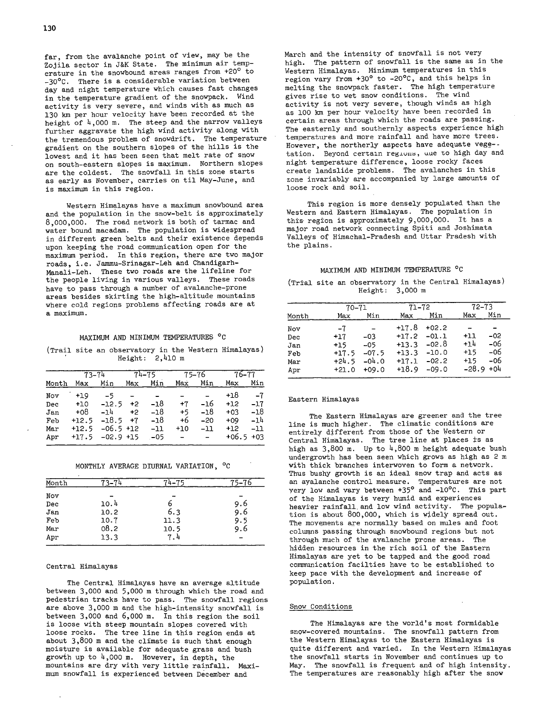far, from the avalanche point of view, may be the Zojila sector in J&K State. The minimum air temperature in the snowbound areas ranges from  $+20^{\circ}$  to -30°C. There is a considerable variation between day and night temperature which causes fast changes in the temperature gradient of the snowpack. Wind activity is very severe, and winds with as much as 130 km per hour velocity have been recorded at the height of  $4,000$  m. The steep and the narrow valleys further aggravate the high wind activity along with the tremendous problem of snowdrift. The temperature gradient on the southern slopes of the hills is the lowest and it has been seen that melt rate of snow on south-eastern slopes is maximum. Northern slopes are the coldest. The snowfall in this zone starts as early as November, carries on til May-June, and is maximum in this region.

Western Himalayas have a maximum snowbound area and the population in the snow-belt is approximately 8,000,000. The road network is both of tarmac and water bound macadam. The population is widespread in different green belts and their existence depends upon keeping the road communication open for the maximum period. In this region, there are two major roads, i.e. Jammu-Srinagar-Leh and Chandigarh-Manali-Leh. These two roads are the lifeline for the people living in various valleys. These roads have to pass through a number of avalanche-prone areas besides skirting the high-altitude mountains where cold regions problems affecting roads are at a maximum.

# MAXIMUM AND MINIMUM TEMPERATURES °C

(Trail site an observatory in the Western Himalayas) Height: 2,410 m

|       | 73–74   |              | $74 - 75$ |       | 75–76          |       | 76–77 |             |
|-------|---------|--------------|-----------|-------|----------------|-------|-------|-------------|
| Month | Max     | Min          | Max       | Min   | Max            | Min   | Max   | Min         |
| Nov   | $+19$   | $-5$         |           |       |                |       | +18   | -7          |
| Dec   | $+10$   | $-12.5$      | $+2$      | $-18$ | $+7$           | -16   | $+12$ | $-17$       |
| Jan   | $+08$   | $-1h$        | $+2$      | $-18$ | $+5$           | $-18$ | $+03$ | -18         |
| Feb   | $+12.5$ | $-18.5$ $+7$ |           | -18   | +6             | $-20$ | $+09$ | $-14$       |
| Mar   | $+12.5$ | $-06.5$ +12  |           | $-11$ | $+10$          | $-11$ | $+12$ | $-11$       |
| Apr   | +17.5   | $-02.9$ +15  |           | $-05$ | $\blacksquare$ |       |       | $+06.5 +03$ |

# MONTHLY AVERAGE DIURNAL VARIATION, °C

| Month | 73–7 |      | b   |
|-------|------|------|-----|
| Nov   |      |      |     |
| Dec   | 10.4 | ь    | 9.6 |
| Jan   | 10.2 | 6.3  | 9.6 |
| Feb   | 10.7 | 11.3 | 9.5 |
| Mar   | 08.2 | 10.5 | 9.6 |
| Apr   | 13.3 | 7.4  |     |

### Central Himalayas

The Central Himalayas have an average altitude between  $3,000$  and  $5,000$  m through which the road and pedestrian tracks have to pass. The snowfall regions are above 3,000 m and the high-intensity snowfall is between 3,000 and  $6,000$  m. In this region the soil is loose with steep mountain slopes covered with loose rocks. The tree line in this region ends at about  $3,800$  m and the climate is such that enough moisture is available for adequate grass and bush growth up to  $4,000$  m. However, in depth, the mountains are dry with very little rainfall. Maximum snowfall is experienced between December and

March and the intensity of snowfall is not very high. The pattern of snowfall is the same as in the Western Himalayas. Minimum temperatures in this region vary from +30° to -20°C, and this helps in melting the snowpack faster. The high temperature gives rise to wet snow conditions. The wind activity is not very severe, though winds as high as 100 km per hour velocity have been recorded in certain areas through which the roads are passing. The easternly and southernly aspects experience high temperatures and more rainfall and have more trees. However, the northerly aspects have adequate vege- tation. Beyond certain regions, que to high day and night temperature difference, loose rocky faces create landslide problems. The avalanches in this zone invariably are accompanied by large amounts of loose rock and soil.

This region is more densely populated than the Western and Eastern Himalayas. The population in this region is approximately 9,000,000. It has a major road network connecting Spiti and Joshimata Valleys of Himachal-Pradesh and Uttar Pradesh with the plains.

# MAXIMUM AND MINIMUM TEMPERATURE °C

(Trial site an observatory in the Central Himalayas) Height: 3,000 m

|                                        |                                                         | 70–71                                                                       | 71–72                                                          |                                                                | 72–73                            |                                            |
|----------------------------------------|---------------------------------------------------------|-----------------------------------------------------------------------------|----------------------------------------------------------------|----------------------------------------------------------------|----------------------------------|--------------------------------------------|
| Month                                  | Max                                                     | Min                                                                         | Max                                                            | Min                                                            | Max                              | Min                                        |
| Nov<br>Dec<br>Jan<br>Feb<br>Mar<br>Apr | $-7$<br>$+17$<br>$+15$<br>$+17.5$<br>$+24.5$<br>$+21.0$ | $\overline{\phantom{0}}$<br>$-03$<br>$-05$<br>$-07.5$<br>$-04.0$<br>$+09.0$ | $+17.8$<br>$+17.2$<br>$+13.3$<br>$+13.3$<br>$+17.1$<br>$+18.9$ | $+02.2$<br>$-01.1$<br>$-02.8$<br>$-10.0$<br>$-02.2$<br>$-09.0$ | $+11$<br>$+14$<br>$+15$<br>$+15$ | $-02$<br>-06<br>-06<br>-06<br>$-28.9 + 04$ |

# Eastern Himalayas

The Eastern Himalayas are greener and the tree line is much higher. The climatic conditions are entirely different from those of the Western or Central Himalayas. The tree line at places is as high as  $3,800$  m. Up to  $4,800$  m height adequate bush undergrowth has been seen which grows as high as 2 m with thick branches interwoven to form a network. Thus bushy growth is an ideal snow trap and acts as an ayalanche control measure. Temperatures are not very low and vary between +350 and -10°C. This part of the Himalayas is very humid and experiences heavier rainfall, and low wind activity. The population is about  $800,000$ , which is widely spread out. The movements are normally based on mules and foot coluinns passing through snowbound regions but not through much of the avalanche prone areas. The hidden resources in the rich soil of the Eastern Himalayas are yet to be tapped and the good road communication facilties have to be established to keep pace with the development and increase of population.

# Snow Conditions

The Himalayas are the world's most formidable snow-covered mountains. The snowfall pattern from the Western Himalayas to the Eastern Himalayas is quite different and varied. In the Western Himalayas the snowfall starts in November and continues up to May. The snowfall is frequent and of high intensity. The temperatures are reasonably high after the snow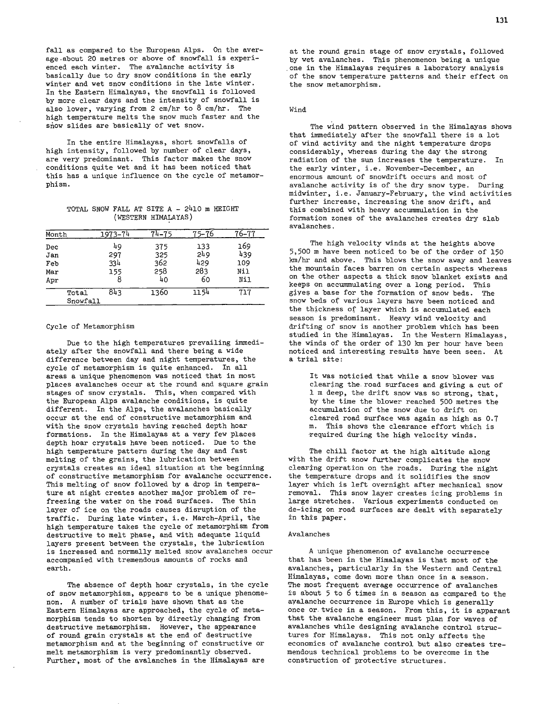fall as compared to the European Alps. On the average .about 20 metres or above of snowfall is experienced each winter. The avalanche activity is basically due to dry snow conditions in the early winter and wet snow conditions in the late winter. In the Eastern Himalayas, the snowfall is followed by more clear days and the intensity of snowfall is also lower, varying from 2 cm/hr to 8 cm/hr. The high temperature melts the snow much faster and the snow slides are basically of wet snow.

In the entire Himalayas, short snowfalls of high intensity, followed by number of clear days, are very predominant. This factor makes the snow conditions quite wet and it has been noticed that this has a unique influence on the cycle of metamorphism.

TOTAL SNOW FALL AT SITE A - 2410 m HEIGHT (WESTERN HIMALAYAS)

| Month                    | 1973-74                      | 74_75                          | 75–76                          | $76 - 77$                       |
|--------------------------|------------------------------|--------------------------------|--------------------------------|---------------------------------|
| Dec<br>Jan<br>Feb<br>Mar | 49<br>297<br>334<br>155<br>8 | 375<br>325<br>362<br>258<br>40 | 133<br>249<br>429<br>283<br>60 | 169<br>439<br>109<br>Nil<br>Nil |
| Apr<br>Total<br>Snowfall | 843                          | 1360                           | 1154                           | 717                             |

#### Cycle of Metamorphism

Due to the high temperatures prevailing immediately after the snowfall and there being a wide difference between day and night temperatures, the cycle of metamorphism is quite enhanced. In all areas a unique phenomenon was noticed that in most places avalanches occur at the round and square grain stages of snow crystals. This, when compared with the European Alps avalanche conditions, is quite different. In the Alps, the avalanches basically occur at the end of constructive metamorphism and with the snow crystals having reached depth hoar formations. In the Himalayas at a very few places depth hoar crystals have been noticed. Due to the high temperature pattern during the day and fast melting of the grains, the lubrication between crystals creates an ideal situation at the beginning of constructive metamorphism for avalanche occurrence. This melting of snow followed by a drop in temperature at night creates another major problem of refreezing the water on the road surfaces. The thin layer of ice on the roads causes disruption of the traffic. During late winter, i.e. March-April, the high temperature takes the cycle of metamorphism from destructive to melt phase, and with adequate liquid layers present between the crystals, the lubrication is increased and normally melted snow avalanches occur accompanied with tremendous amounts of rocks and earth.

The absence of depth hoar crystals, in the cycle of snow metamorphism, appears to be a unique phenomenon. A number of trials have shown that as the Eastern Himalayas are approached, the cycle of metamorphism tends to shorten by directly changing from destructive metamorphism. However, the appearance of round grain crystals at the end of destructive metamorphism and at the beginning of constructive or melt metamorphism is very predominantly observed. Further, most of the avalanches in the Himalayas are

at the round grain stage of snow crystals, followed by wet avalanches. This phenomenon being a unique one in the Himalayas requires a laboratory analysis of the snow temperature patterns and their effect on the snow metamorphism.

#### Wind

The wind pattern observed in the Himalayas shows that immediately after the snowfall there is a lot of wind activity and the night temperature drops considerably, whereas during the day the strong radiation of the sun increases the temperature. In the early winter, i.e. November-December, an enormous amount of snowdrift occurs and most of avalanche activity is of the dry snow type. During midwinter, i.e. January-February, the wind activities further increase, increasing the snow drift, and this combined with heavy accummulation in the formation zones of the avalanches creates dry slab avalanches.

The high velocity winds at the heights above 5,500 m have been noticed to be of the order of 150 km/hr and above. This blows the snow away and leaves the mountain faces barren on certain aspects whereas on the other aspects a thick snow blanket exists and keeps on accummulating over a long period. This gives a base for the formation of snow beds. The snow beds of various layers have been noticed and the thickness of layer which is accumulated each season is predominant. Heavy wind velocity and drifting of snow is another problem which has been studied in the Himalayas. In the Western Himalayas, the winds of the order of 130 km per hour have been noticed and interesting results have been seen. At a trial site:

It was noticied that while a snow blower was clearing the road surfaces and giving a cut of 1 m deep, the drift snow was so strong, that, by the time the blower reached 500 metres the accumulation of the snow due to drift on cleared road surface was again as high as 0.7 m. This shows the clearance effort which is required during the high velocity winds.

The chill factor at the high altitude along with the drift snow further complicates the snow clearing operation on the roads. During the night the temperature drops and it solidifies the snow layer which is left overnight after mechanical snow removal. This snow layer creates icing problems in large stretches. Various experiments conducted on de-icing on road surfaces are dealt with separately in this paper.

#### Avalanches

A unique phenomenon of avalanche occurrence that has been in the Himalayas is that most of the avalanches, particularly in the Western and Central Himalayas, come down more than once in a season. The most frequent average occurrence of avalanches is about 5 to 6 times in a season as compared to the avalanche occurrence in Europe which is generally once or. twice in a season. From this, it is apparant that the avalanche engineer must plan for waves of avalanches while designing avalanche control structures for Himalayas. This not only affects the economics of avalanche control but also creates tremendous technical problems to be overcome in the construction of protective structures.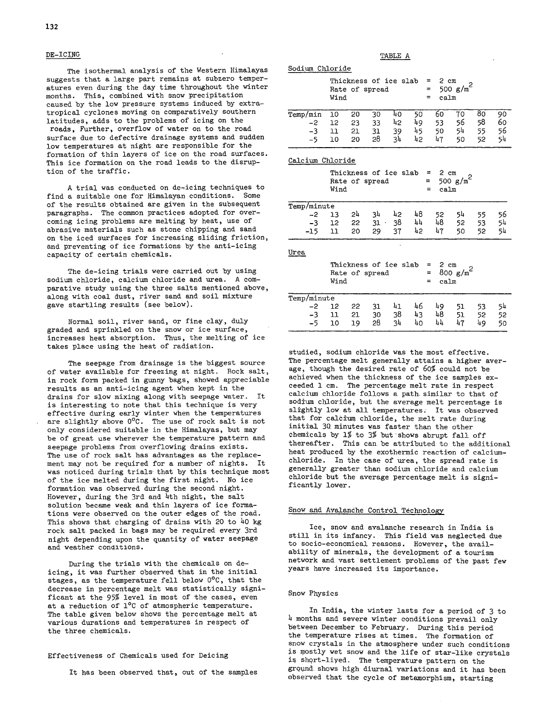# DE-ICING

The isothermal analysis of the Western Himalayas suggests that a large part remains at subzero temperatures even during the day time throughout the winter months. This, combined with snow precipitation caused by the low pressure systems induced by extratropical cyclones moving on comparatively southern latitudes, adds to the problems of icing on the roads, Further, overflow of water on to the road surface due to defective drainage systems and sudden low temperatures at night are responsible for the formation of thin layers of ice on the road surfaces. This ice formation on the road leads to the disruption of the traffic.

A trial was conducted on de-icing techniques to find a suitable one for Himalayan conditions. Some of the results obtained are given in the subsequent paragraphs. The common practices adopted for overcoming icing problems are melting by heat, use of abrasive materials such as stone chipping and sand on the iced surfaces for increasing sliding friction, and preventing of ice formations by the anti-icing capacity of certain chemicals.

The de-icing trials were carried out by using sodium chloride, calcium chloride and urea. A comparative study using the three salts mentioned above, along with coal dust, river sand and soil mixture gave startling results (see below).

Normal soil, river sand, or fine clay, duly graded and sprinkled on the snow or ice surface, increases heat absorption. Thus, the melting of ice takes place using the heat of radiation.

The seepage from drainage is the biggest source of water available for freezing at night. Rock salt, in rock form packed in gunny bags, showed appreciable results as an anti-icing agent when kept in the drains for slow mixing along with seepage water. It is interesting to note that this technique is very effective during early winter when the temperatures are slightly above 0°C. The use of rock salt is not only considered suitable in the Himalayas, but may be of great use wherever the temperature pattern and seepage problems from overflowing drains exists. The use of rock salt has advantages as the replacement may not be required for a number of nights. It was noticed during trials that by this technique most of the ice melted during the first night. No ice formation was observed during the second night. However, during the 3rd and  $4$ th night, the salt solution became weak and thin layers of ice formations were observed on the outer edges of the road. This shows that charging of drains with 20 to  $40$  kg rock salt packed in bags may be required every 3rd night depending upon the quantity of water seepage and weather conditions.

During the trials with the chemicals on deicing, it was further observed that in the initial stages, as the temperature fell below 0°C, that the decrease in percentage melt was statistically significant at the 95% level in most of the cases, even at a reduction of 1<sup>o</sup>C of atmospheric temperature. The table given below shows the percentage melt at various durations and temperatures in respect of the three chemicals.

#### Effectiveness of Chemicals used for Deicing

It has been observed that, out of the samples

# TABLE A

|  | Sodium Chloride |  |
|--|-----------------|--|
|  |                 |  |

|          | Wind |    | Rate of spread | Thickness of ice slab | =<br>$\equiv$ | $2 \text{ cm}$<br>$=$<br>calm | 500 $g/m^2$ |    |    |
|----------|------|----|----------------|-----------------------|---------------|-------------------------------|-------------|----|----|
| Temp/min | 10   | 20 | 30             | 40                    | 50            | 60                            | 70          | 80 | 90 |
| $-2$     | 12   | 23 | 33             | 42                    | 49            | 53                            | 56          | 58 | 60 |
| $-3$     | 11   | 21 | 31             | 39                    | 45            | 50                            | 54          | 55 | 56 |
| $-5$     | 10   | 20 | 28             | 4۶                    | 42            | 47                            | 50          | 52 | 54 |

Calcium Chloride

|             | Wind |    | Thickness of ice slab<br>Rate of spread |    |    | $= 2$ cm<br>$=$<br>ca1m<br>$=$ | 500 $g/m^2$ |    |    |
|-------------|------|----|-----------------------------------------|----|----|--------------------------------|-------------|----|----|
| Temp/minute |      |    |                                         |    |    |                                |             |    |    |
| $-2$        | 13   | 24 | 34                                      | 42 | 48 | 52.                            | 54          | 55 | 56 |
| $-3$        | 12   | 22 | $31 -$                                  | 38 | 44 | 48                             | 52          | 53 | 54 |
| $-15$       | ו ו  | 20 | 29                                      | 37 | 42 | 47                             | 50          | 52 | 54 |

| Urea        |      |      |                                         |    |    |    |                                        |                      |    |    |
|-------------|------|------|-----------------------------------------|----|----|----|----------------------------------------|----------------------|----|----|
|             |      | Wind | Thickness of ice slab<br>Rate of spread |    |    |    | $= 2 \text{ cm}$<br>$=$<br>calm<br>$=$ | 800 $\mathrm{g/m}^2$ |    |    |
| Temp/minute |      |      |                                         |    |    |    |                                        |                      |    |    |
|             | $-2$ | 12   | -22                                     | 31 | 41 | 46 | 49                                     | 51                   | 53 | 54 |
|             | $-3$ | 11   | 21                                      | 30 | 38 | 43 | 48                                     | 51                   | 52 | 52 |
|             | -5   | 10   | 19                                      | 28 | 34 | 40 | 44                                     | 47                   | 49 | 50 |

studied, sodium chloride was the most effective. The percentage melt generally attains a higher average, though the desired rate of 60% could not be achieved when the thickness of the ice samples exceeded 1 cm. The percentage melt rate in respect calcium chloride follows a path similar to that of sodium chloride, but the average melt percentage is slightly low at all temperatures. It was observed that for calcium chloride, the melt rate during initiaJ, 30 minutes was faster than the other chemicals by 1% to 3% but shows abrupt fall off thereafter. This can be attributed to the additional heat produced by the exothermic reaction of calciumchloride. In the case of urea, the spread rate is generally greater than sodium chloride and calcium chloride but the average percentage melt is significantly lower.

#### Snow and Avalanche Control Technology

Ice, snow and avalanche research in India is still in its infancy. This field was neglected due to socio-economical reasons. However, the availability of minerals, the development of a tourism network and vast settlement problems of the past few years have increased its importance.

# Snow Physics

In India, the winter lasts for a period of 3 to 14 months and severe winter conditions prevail only between December to February. During this period the temperature rises at times. The formation of snow crystals in the atmosphere under such conditions is mostly wet snow and the life of star-like crystals is short-liyed. The temperature pattern on the ground shows high diurnal variations and it has been observed that the cycle of metamorphism, starting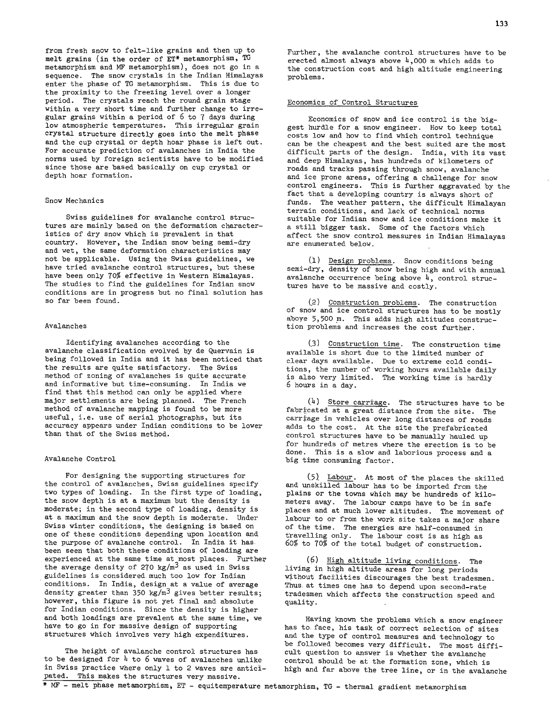from fresh snow to felt-like grains and then up to melt grains (in the order of ET\* metamorphism, TG metamorphism and MF metamorphism), does not go in a sequence. The snow crystals in the Indian Himalayas enter the phase of TG metamorphism. This is due to the proximity to the freezing level over a longer period. The crystals reach the round grain stage within a very short time and further change to irregular grains within a period of 6 to 7 days during low atmospheric temperatures. This irregular grain crystal structure directly goes into the melt phase and the cup crystal or depth hoar phase is left out. For accurate prediction of avalanches in India the norms used by foreign scientists have to be modified since those are based basically on cup crystal or depth hoar formation.

#### Snow Mechanics

Swiss guidelines for avalanche control structures are mainly based on the deformation characteristics of dry snow which is prevalent in that country. However, the Indian snow being semi-dry and wet, the same deformation characteristics may not be applicable. Using the Swiss guidelines, we have tried avalanche control structures, but these have been only 70% effective in Western Himalayas. The studies to find the guidelines for Indian snow conditions are in progress but no final solution has so far been found.

# Avalanches

Identifying avalanches according to the avalanche classification evolved by de Quervain is being followed in India and it has been noticed that the results are quite satisfactory. The Swiss method of zoning of avalanches is quite accurate and informative but time-consuming. In India we find that this method can only be applied where major settlements are being planned. The French method of avalanche mapping is found to be more useful, i.e. use of aerial photographs, but its accuracy appears under Indian conditions to be lower than that of the Swiss method.

#### Avalanche Control

For designing the supporting structures for the control of avalanches, Swiss guidelines specify two types of loading. In the first type of loading, the snow depth is at a maximum but the density is moderate; in the second type of loading, density is at a maximum and the snow depth is moderate. Under Swiss winter conditions, the designing is based on one of these conditions depending upon location and the purpose of avalanche control. In India it has. been seen that both these conditions of loading are experienced at the same time at most places. Furthep the average density of 270 kg/m<sup>3</sup> as used in Swiss guidelines is considered much too low for Indian conditions. In India, design at a value of average density greater than 350 kg/m<sup>3</sup> gives better results; however, this figure is not yet final and absolute for Indian conditions. Since the density is higher and both loadings are prevalent at the same time, we have to go in for massive design of supporting structures which involves very high expenditures.

The height of avalanche control structures has to be designed for  $4$  to 6 waves of avalanches unlike in Swiss practice where only 1 to 2 waves are anticipated. This makes the structures very massive.

#### Economics of Control Structures

Economics of snow and ice control is the biggest hurdle for a snow engineer. How to keep total costs low and how to find which control technique can be the cheapest and the best suited are the most difficult parts of the design. India, with its vast and deep Himalayas, has hundreds of kilometers of roads and tracks passing through snow, avalanche and ice prone areas, offering a challenge for snow control engineers. This is further aggravated by the fact that a developing country is always short of funds. The weather pattern, the difficult Himalayan terrain conditions, and lack of technical norms suitable for Indian snow and ice conditions make it a still bigger task. Some of the factors which affect the snow control measures in Indian Himalayas are enumerated below.

Design problems. Snow conditions being semi-dry, density of snow being high and with annual avalanche occurrence being above  $4$ , control structures have to be massive and costly.

(2) Construction problems. The construction of snow and ice control structures has to be mostly aboye 5,500 m. This adds high altitudes construction problems and increases the cost further.

(3) Construction time. The construction time available is short due to the limited number of clear days available. Due to extreme cold conditions, the number of working hours available daily is also very limited. The working time is hardly 6 hours in a day.

 $(4)$  Store carriage. The structures have to be fabricated at a great distance from the site. The carriage in vehicles over long distances of roads adds to the cost. At the site the prefabricated control structures have to be manually hauled up for hundreds of metres where the erection is to be done. This is a slow and laborious process and a big time consuming factor.

Labour. At most of the places the skilled and unskilled labour has to be imported from the plains or the towns which may be hundreds of kilometers away. The labour camps have to be in safe places and at much lower altitudes. The movement of labour to or from the work site takes a major share of the time. The energies are half-consumed in travelling only. The labour cost is as high as 60% to 70% of the total budget of construction.

 $(6)$  High altitude living conditions. The living in high altitude areas for long periods without facilities discourages the best tradesmen. Thus. at times one has to depend upon second-rate tradesmen which affects the construction speed and quality.

Having known the problems which a snow engineer has to. face, his task of correct selection of sites and the type of control measures and technology to be followed becomes very difficult. The most difficult question to answer is whether the avalanche control should be at the formation zone, which is high and far above the tree line, or in the avalanche

\* MF - melt phase metamorphism, ET - equitemperature metamorphism, TG - thermal gradient metamorphism